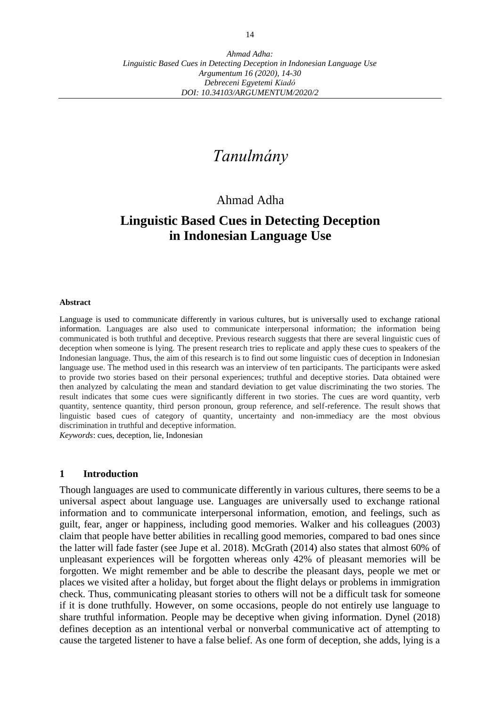# *Tanulmány*

## Ahmad Adha

## **Linguistic Based Cues in Detecting Deception in Indonesian Language Use**

#### **Abstract**

Language is used to communicate differently in various cultures, but is universally used to exchange rational information. Languages are also used to communicate interpersonal information; the information being communicated is both truthful and deceptive. Previous research suggests that there are several linguistic cues of deception when someone is lying. The present research tries to replicate and apply these cues to speakers of the Indonesian language. Thus, the aim of this research is to find out some linguistic cues of deception in Indonesian language use. The method used in this research was an interview of ten participants. The participants were asked to provide two stories based on their personal experiences; truthful and deceptive stories. Data obtained were then analyzed by calculating the mean and standard deviation to get value discriminating the two stories. The result indicates that some cues were significantly different in two stories. The cues are word quantity, verb quantity, sentence quantity, third person pronoun, group reference, and self-reference. The result shows that linguistic based cues of category of quantity, uncertainty and non-immediacy are the most obvious discrimination in truthful and deceptive information. *Keywords*: cues, deception, lie, Indonesian

#### **1 Introduction**

Though languages are used to communicate differently in various cultures, there seems to be a universal aspect about language use. Languages are universally used to exchange rational information and to communicate interpersonal information, emotion, and feelings, such as guilt, fear, anger or happiness, including good memories. Walker and his colleagues (2003) claim that people have better abilities in recalling good memories, compared to bad ones since the latter will fade faster (see Jupe et al. 2018). McGrath (2014) also states that almost 60% of unpleasant experiences will be forgotten whereas only 42% of pleasant memories will be forgotten. We might remember and be able to describe the pleasant days, people we met or places we visited after a holiday, but forget about the flight delays or problems in immigration check. Thus, communicating pleasant stories to others will not be a difficult task for someone if it is done truthfully. However, on some occasions, people do not entirely use language to share truthful information. People may be deceptive when giving information. Dynel (2018) defines deception as an intentional verbal or nonverbal communicative act of attempting to cause the targeted listener to have a false belief. As one form of deception, she adds, lying is a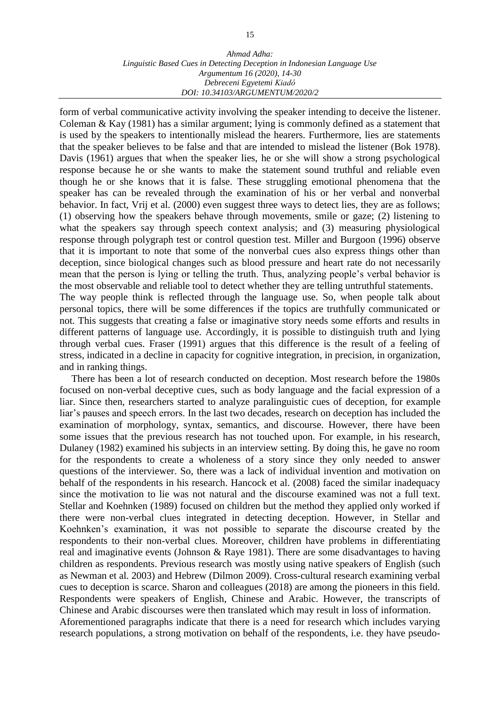#### *Ahmad Adha: Linguistic Based Cues in Detecting Deception in Indonesian Language Use Argumentum 16 (2020), 14-30 Debreceni Egyetemi Kiadó DOI: 10.34103/ARGUMENTUM/2020/2*

form of verbal communicative activity involving the speaker intending to deceive the listener. Coleman & Kay (1981) has a similar argument; lying is commonly defined as a statement that is used by the speakers to intentionally mislead the hearers. Furthermore, lies are statements that the speaker believes to be false and that are intended to mislead the listener (Bok 1978). Davis (1961) argues that when the speaker lies, he or she will show a strong psychological response because he or she wants to make the statement sound truthful and reliable even though he or she knows that it is false. These struggling emotional phenomena that the speaker has can be revealed through the examination of his or her verbal and nonverbal behavior. In fact, Vrij et al. (2000) even suggest three ways to detect lies, they are as follows; (1) observing how the speakers behave through movements, smile or gaze; (2) listening to what the speakers say through speech context analysis; and (3) measuring physiological response through polygraph test or control question test. Miller and Burgoon (1996) observe that it is important to note that some of the nonverbal cues also express things other than deception, since biological changes such as blood pressure and heart rate do not necessarily mean that the person is lying or telling the truth. Thus, analyzing people's verbal behavior is the most observable and reliable tool to detect whether they are telling untruthful statements. The way people think is reflected through the language use. So, when people talk about personal topics, there will be some differences if the topics are truthfully communicated or

not. This suggests that creating a false or imaginative story needs some efforts and results in different patterns of language use. Accordingly, it is possible to distinguish truth and lying through verbal cues. Fraser (1991) argues that this difference is the result of a feeling of stress, indicated in a decline in capacity for cognitive integration, in precision, in organization, and in ranking things.

There has been a lot of research conducted on deception. Most research before the 1980s focused on non-verbal deceptive cues, such as body language and the facial expression of a liar. Since then, researchers started to analyze paralinguistic cues of deception, for example liar's pauses and speech errors. In the last two decades, research on deception has included the examination of morphology, syntax, semantics, and discourse. However, there have been some issues that the previous research has not touched upon. For example, in his research, Dulaney (1982) examined his subjects in an interview setting. By doing this, he gave no room for the respondents to create a wholeness of a story since they only needed to answer questions of the interviewer. So, there was a lack of individual invention and motivation on behalf of the respondents in his research. Hancock et al. (2008) faced the similar inadequacy since the motivation to lie was not natural and the discourse examined was not a full text. Stellar and Koehnken (1989) focused on children but the method they applied only worked if there were non-verbal clues integrated in detecting deception. However, in Stellar and Koehnken's examination, it was not possible to separate the discourse created by the respondents to their non-verbal clues. Moreover, children have problems in differentiating real and imaginative events (Johnson & Raye 1981). There are some disadvantages to having children as respondents. Previous research was mostly using native speakers of English (such as Newman et al. 2003) and Hebrew (Dilmon 2009). Cross-cultural research examining verbal cues to deception is scarce. Sharon and colleagues (2018) are among the pioneers in this field. Respondents were speakers of English, Chinese and Arabic. However, the transcripts of Chinese and Arabic discourses were then translated which may result in loss of information. Aforementioned paragraphs indicate that there is a need for research which includes varying research populations, a strong motivation on behalf of the respondents, i.e. they have pseudo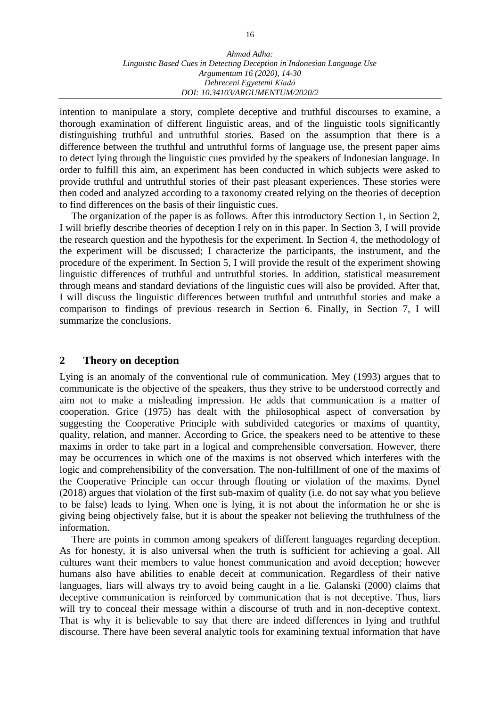intention to manipulate a story, complete deceptive and truthful discourses to examine, a thorough examination of different linguistic areas, and of the linguistic tools significantly distinguishing truthful and untruthful stories. Based on the assumption that there is a difference between the truthful and untruthful forms of language use, the present paper aims to detect lying through the linguistic cues provided by the speakers of Indonesian language. In order to fulfill this aim, an experiment has been conducted in which subjects were asked to provide truthful and untruthful stories of their past pleasant experiences. These stories were then coded and analyzed according to a taxonomy created relying on the theories of deception to find differences on the basis of their linguistic cues.

The organization of the paper is as follows. After this introductory Section 1, in Section 2, I will briefly describe theories of deception I rely on in this paper. In Section 3, I will provide the research question and the hypothesis for the experiment. In Section 4, the methodology of the experiment will be discussed; I characterize the participants, the instrument, and the procedure of the experiment. In Section 5, I will provide the result of the experiment showing linguistic differences of truthful and untruthful stories. In addition, statistical measurement through means and standard deviations of the linguistic cues will also be provided. After that, I will discuss the linguistic differences between truthful and untruthful stories and make a comparison to findings of previous research in Section 6. Finally, in Section 7, I will summarize the conclusions.

#### **2 Theory on deception**

Lying is an anomaly of the conventional rule of communication. Mey (1993) argues that to communicate is the objective of the speakers, thus they strive to be understood correctly and aim not to make a misleading impression. He adds that communication is a matter of cooperation. Grice (1975) has dealt with the philosophical aspect of conversation by suggesting the Cooperative Principle with subdivided categories or maxims of quantity, quality, relation, and manner. According to Grice, the speakers need to be attentive to these maxims in order to take part in a logical and comprehensible conversation. However, there may be occurrences in which one of the maxims is not observed which interferes with the logic and comprehensibility of the conversation. The non-fulfillment of one of the maxims of the Cooperative Principle can occur through flouting or violation of the maxims. Dynel (2018) argues that violation of the first sub-maxim of quality (i.e. do not say what you believe to be false) leads to lying. When one is lying, it is not about the information he or she is giving being objectively false, but it is about the speaker not believing the truthfulness of the information.

There are points in common among speakers of different languages regarding deception. As for honesty, it is also universal when the truth is sufficient for achieving a goal. All cultures want their members to value honest communication and avoid deception; however humans also have abilities to enable deceit at communication. Regardless of their native languages, liars will always try to avoid being caught in a lie. Galanski (2000) claims that deceptive communication is reinforced by communication that is not deceptive. Thus, liars will try to conceal their message within a discourse of truth and in non-deceptive context. That is why it is believable to say that there are indeed differences in lying and truthful discourse. There have been several analytic tools for examining textual information that have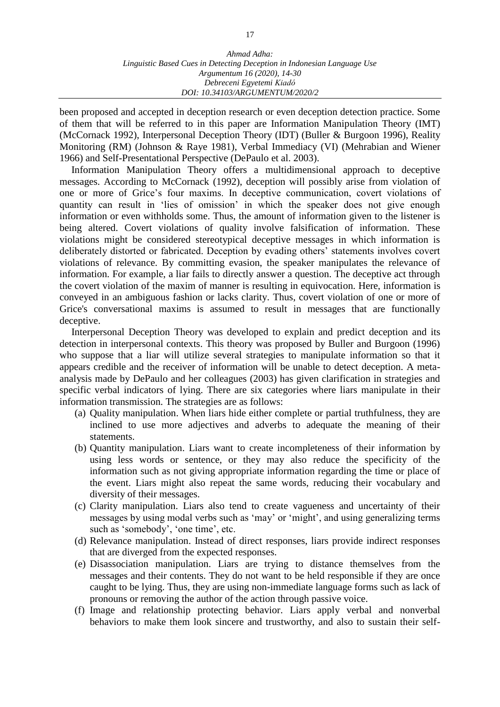been proposed and accepted in deception research or even deception detection practice. Some of them that will be referred to in this paper are Information Manipulation Theory (IMT) (McCornack 1992), Interpersonal Deception Theory (IDT) (Buller & Burgoon 1996), Reality Monitoring (RM) (Johnson & Raye 1981), Verbal Immediacy (VI) (Mehrabian and Wiener 1966) and Self-Presentational Perspective (DePaulo et al. 2003).

Information Manipulation Theory offers a multidimensional approach to deceptive messages. According to McCornack (1992), deception will possibly arise from violation of one or more of Grice's four maxims. In deceptive communication, covert violations of quantity can result in 'lies of omission' in which the speaker does not give enough information or even withholds some. Thus, the amount of information given to the listener is being altered. Covert violations of quality involve falsification of information. These violations might be considered stereotypical deceptive messages in which information is deliberately distorted or fabricated. Deception by evading others' statements involves covert violations of relevance. By committing evasion, the speaker manipulates the relevance of information. For example, a liar fails to directly answer a question. The deceptive act through the covert violation of the maxim of manner is resulting in equivocation. Here, information is conveyed in an ambiguous fashion or lacks clarity. Thus, covert violation of one or more of Grice's conversational maxims is assumed to result in messages that are functionally deceptive.

Interpersonal Deception Theory was developed to explain and predict deception and its detection in interpersonal contexts. This theory was proposed by Buller and Burgoon (1996) who suppose that a liar will utilize several strategies to manipulate information so that it appears credible and the receiver of information will be unable to detect deception. A metaanalysis made by DePaulo and her colleagues (2003) has given clarification in strategies and specific verbal indicators of lying. There are six categories where liars manipulate in their information transmission. The strategies are as follows:

- (a) Quality manipulation. When liars hide either complete or partial truthfulness, they are inclined to use more adjectives and adverbs to adequate the meaning of their statements.
- (b) Quantity manipulation. Liars want to create incompleteness of their information by using less words or sentence, or they may also reduce the specificity of the information such as not giving appropriate information regarding the time or place of the event. Liars might also repeat the same words, reducing their vocabulary and diversity of their messages.
- (c) Clarity manipulation. Liars also tend to create vagueness and uncertainty of their messages by using modal verbs such as 'may' or 'might', and using generalizing terms such as 'somebody', 'one time', etc.
- (d) Relevance manipulation. Instead of direct responses, liars provide indirect responses that are diverged from the expected responses.
- (e) Disassociation manipulation. Liars are trying to distance themselves from the messages and their contents. They do not want to be held responsible if they are once caught to be lying. Thus, they are using non-immediate language forms such as lack of pronouns or removing the author of the action through passive voice.
- (f) Image and relationship protecting behavior. Liars apply verbal and nonverbal behaviors to make them look sincere and trustworthy, and also to sustain their self-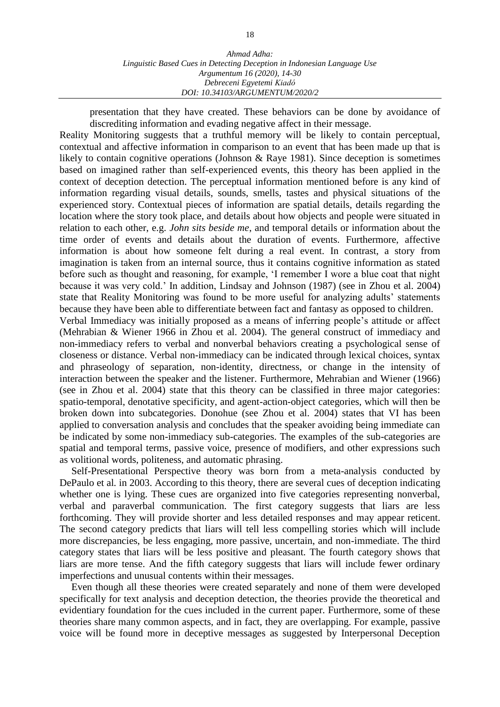presentation that they have created. These behaviors can be done by avoidance of discrediting information and evading negative affect in their message.

Reality Monitoring suggests that a truthful memory will be likely to contain perceptual, contextual and affective information in comparison to an event that has been made up that is likely to contain cognitive operations (Johnson & Raye 1981). Since deception is sometimes based on imagined rather than self-experienced events, this theory has been applied in the context of deception detection. The perceptual information mentioned before is any kind of information regarding visual details, sounds, smells, tastes and physical situations of the experienced story. Contextual pieces of information are spatial details, details regarding the location where the story took place, and details about how objects and people were situated in relation to each other, e.g. *John sits beside me*, and temporal details or information about the time order of events and details about the duration of events. Furthermore, affective information is about how someone felt during a real event. In contrast, a story from imagination is taken from an internal source, thus it contains cognitive information as stated before such as thought and reasoning, for example, 'I remember I wore a blue coat that night because it was very cold.' In addition, Lindsay and Johnson (1987) (see in Zhou et al. 2004) state that Reality Monitoring was found to be more useful for analyzing adults' statements because they have been able to differentiate between fact and fantasy as opposed to children.

Verbal Immediacy was initially proposed as a means of inferring people's attitude or affect (Mehrabian & Wiener 1966 in Zhou et al. 2004). The general construct of immediacy and non-immediacy refers to verbal and nonverbal behaviors creating a psychological sense of closeness or distance. Verbal non-immediacy can be indicated through lexical choices, syntax and phraseology of separation, non-identity, directness, or change in the intensity of interaction between the speaker and the listener. Furthermore, Mehrabian and Wiener (1966) (see in Zhou et al. 2004) state that this theory can be classified in three major categories: spatio-temporal, denotative specificity, and agent-action-object categories, which will then be broken down into subcategories. Donohue (see Zhou et al. 2004) states that VI has been applied to conversation analysis and concludes that the speaker avoiding being immediate can be indicated by some non-immediacy sub-categories. The examples of the sub-categories are spatial and temporal terms, passive voice, presence of modifiers, and other expressions such as volitional words, politeness, and automatic phrasing.

Self-Presentational Perspective theory was born from a meta-analysis conducted by DePaulo et al*.* in 2003. According to this theory, there are several cues of deception indicating whether one is lying. These cues are organized into five categories representing nonverbal, verbal and paraverbal communication. The first category suggests that liars are less forthcoming. They will provide shorter and less detailed responses and may appear reticent. The second category predicts that liars will tell less compelling stories which will include more discrepancies, be less engaging, more passive, uncertain, and non-immediate. The third category states that liars will be less positive and pleasant. The fourth category shows that liars are more tense. And the fifth category suggests that liars will include fewer ordinary imperfections and unusual contents within their messages.

Even though all these theories were created separately and none of them were developed specifically for text analysis and deception detection, the theories provide the theoretical and evidentiary foundation for the cues included in the current paper. Furthermore, some of these theories share many common aspects, and in fact, they are overlapping. For example, passive voice will be found more in deceptive messages as suggested by Interpersonal Deception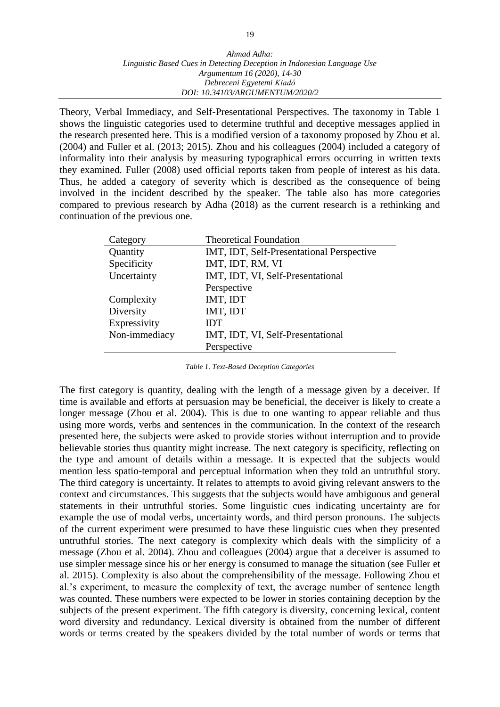Theory, Verbal Immediacy, and Self-Presentational Perspectives. The taxonomy in Table 1 shows the linguistic categories used to determine truthful and deceptive messages applied in the research presented here. This is a modified version of a taxonomy proposed by Zhou et al. (2004) and Fuller et al. (2013; 2015). Zhou and his colleagues (2004) included a category of informality into their analysis by measuring typographical errors occurring in written texts they examined. Fuller (2008) used official reports taken from people of interest as his data. Thus, he added a category of severity which is described as the consequence of being involved in the incident described by the speaker. The table also has more categories compared to previous research by Adha (2018) as the current research is a rethinking and continuation of the previous one.

| Category      | <b>Theoretical Foundation</b>             |
|---------------|-------------------------------------------|
| Quantity      | IMT, IDT, Self-Presentational Perspective |
| Specificity   | IMT, IDT, RM, VI                          |
| Uncertainty   | IMT, IDT, VI, Self-Presentational         |
|               | Perspective                               |
| Complexity    | IMT, IDT                                  |
| Diversity     | IMT, IDT                                  |
| Expressivity  | IDT                                       |
| Non-immediacy | IMT, IDT, VI, Self-Presentational         |
|               | Perspective                               |

*Table 1. Text-Based Deception Categories*

The first category is quantity, dealing with the length of a message given by a deceiver. If time is available and efforts at persuasion may be beneficial, the deceiver is likely to create a longer message (Zhou et al. 2004). This is due to one wanting to appear reliable and thus using more words, verbs and sentences in the communication. In the context of the research presented here, the subjects were asked to provide stories without interruption and to provide believable stories thus quantity might increase. The next category is specificity, reflecting on the type and amount of details within a message. It is expected that the subjects would mention less spatio-temporal and perceptual information when they told an untruthful story. The third category is uncertainty. It relates to attempts to avoid giving relevant answers to the context and circumstances. This suggests that the subjects would have ambiguous and general statements in their untruthful stories. Some linguistic cues indicating uncertainty are for example the use of modal verbs, uncertainty words, and third person pronouns. The subjects of the current experiment were presumed to have these linguistic cues when they presented untruthful stories. The next category is complexity which deals with the simplicity of a message (Zhou et al. 2004). Zhou and colleagues (2004) argue that a deceiver is assumed to use simpler message since his or her energy is consumed to manage the situation (see Fuller et al. 2015). Complexity is also about the comprehensibility of the message. Following Zhou et al.'s experiment, to measure the complexity of text, the average number of sentence length was counted. These numbers were expected to be lower in stories containing deception by the subjects of the present experiment. The fifth category is diversity, concerning lexical, content word diversity and redundancy. Lexical diversity is obtained from the number of different words or terms created by the speakers divided by the total number of words or terms that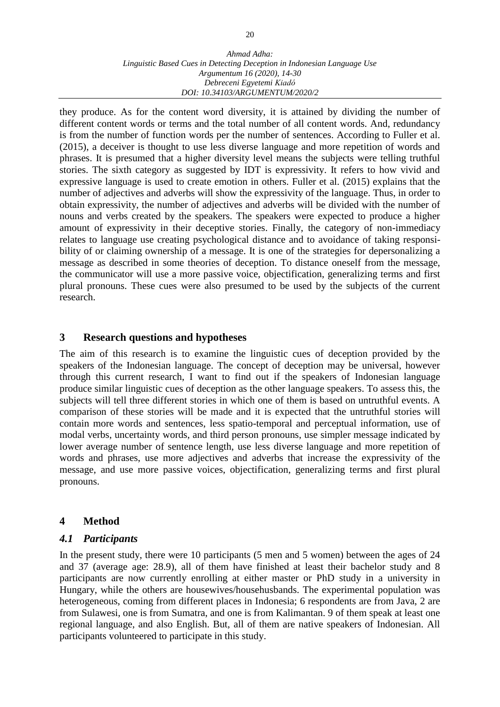they produce. As for the content word diversity, it is attained by dividing the number of different content words or terms and the total number of all content words. And, redundancy is from the number of function words per the number of sentences. According to Fuller et al. (2015), a deceiver is thought to use less diverse language and more repetition of words and phrases. It is presumed that a higher diversity level means the subjects were telling truthful stories. The sixth category as suggested by IDT is expressivity. It refers to how vivid and expressive language is used to create emotion in others. Fuller et al. (2015) explains that the number of adjectives and adverbs will show the expressivity of the language. Thus, in order to obtain expressivity, the number of adjectives and adverbs will be divided with the number of nouns and verbs created by the speakers. The speakers were expected to produce a higher amount of expressivity in their deceptive stories. Finally, the category of non-immediacy relates to language use creating psychological distance and to avoidance of taking responsibility of or claiming ownership of a message. It is one of the strategies for depersonalizing a message as described in some theories of deception. To distance oneself from the message, the communicator will use a more passive voice, objectification, generalizing terms and first plural pronouns. These cues were also presumed to be used by the subjects of the current research.

#### **3 Research questions and hypotheses**

The aim of this research is to examine the linguistic cues of deception provided by the speakers of the Indonesian language. The concept of deception may be universal, however through this current research, I want to find out if the speakers of Indonesian language produce similar linguistic cues of deception as the other language speakers. To assess this, the subjects will tell three different stories in which one of them is based on untruthful events. A comparison of these stories will be made and it is expected that the untruthful stories will contain more words and sentences, less spatio-temporal and perceptual information, use of modal verbs, uncertainty words, and third person pronouns, use simpler message indicated by lower average number of sentence length, use less diverse language and more repetition of words and phrases, use more adjectives and adverbs that increase the expressivity of the message, and use more passive voices, objectification, generalizing terms and first plural pronouns.

## **4 Method**

#### *4.1 Participants*

In the present study, there were 10 participants (5 men and 5 women) between the ages of 24 and 37 (average age: 28.9), all of them have finished at least their bachelor study and 8 participants are now currently enrolling at either master or PhD study in a university in Hungary, while the others are housewives/househusbands. The experimental population was heterogeneous, coming from different places in Indonesia; 6 respondents are from Java, 2 are from Sulawesi, one is from Sumatra, and one is from Kalimantan. 9 of them speak at least one regional language, and also English. But, all of them are native speakers of Indonesian. All participants volunteered to participate in this study.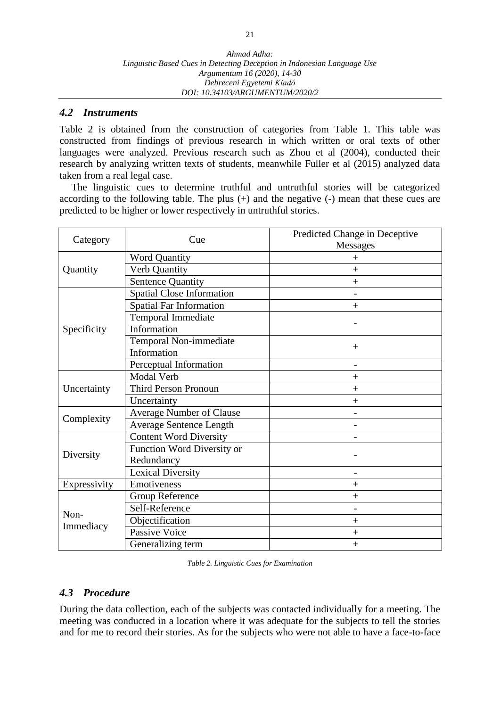#### *4.2 Instruments*

Table 2 is obtained from the construction of categories from Table 1. This table was constructed from findings of previous research in which written or oral texts of other languages were analyzed. Previous research such as Zhou et al (2004), conducted their research by analyzing written texts of students, meanwhile Fuller et al (2015) analyzed data taken from a real legal case.

The linguistic cues to determine truthful and untruthful stories will be categorized according to the following table. The plus (+) and the negative (-) mean that these cues are predicted to be higher or lower respectively in untruthful stories.

| Category     | Cue                              | Predicted Change in Deceptive<br>Messages |
|--------------|----------------------------------|-------------------------------------------|
|              | <b>Word Quantity</b>             | $^{+}$                                    |
| Quantity     | Verb Quantity                    | $^{+}$                                    |
|              | <b>Sentence Quantity</b>         | $^{+}$                                    |
|              | <b>Spatial Close Information</b> |                                           |
|              | <b>Spatial Far Information</b>   | $^{+}$                                    |
|              | <b>Temporal Immediate</b>        |                                           |
| Specificity  | Information                      |                                           |
|              | Temporal Non-immediate           | $^{+}$                                    |
|              | Information                      |                                           |
|              | Perceptual Information           |                                           |
|              | <b>Modal Verb</b>                | $^{+}$                                    |
| Uncertainty  | <b>Third Person Pronoun</b>      | $^{+}$                                    |
|              | Uncertainty                      | $^{+}$                                    |
| Complexity   | <b>Average Number of Clause</b>  |                                           |
|              | <b>Average Sentence Length</b>   |                                           |
|              | <b>Content Word Diversity</b>    |                                           |
| Diversity    | Function Word Diversity or       |                                           |
|              | Redundancy                       |                                           |
|              | Lexical Diversity                |                                           |
| Expressivity | Emotiveness                      | $^{+}$                                    |
|              | <b>Group Reference</b>           | $^{+}$                                    |
| Non-         | Self-Reference                   |                                           |
|              | Objectification                  | $^{+}$                                    |
| Immediacy    | <b>Passive Voice</b>             | $^{+}$                                    |
|              | Generalizing term                | $^{+}$                                    |

*Table 2. Linguistic Cues for Examination*

#### *4.3 Procedure*

During the data collection, each of the subjects was contacted individually for a meeting. The meeting was conducted in a location where it was adequate for the subjects to tell the stories and for me to record their stories. As for the subjects who were not able to have a face-to-face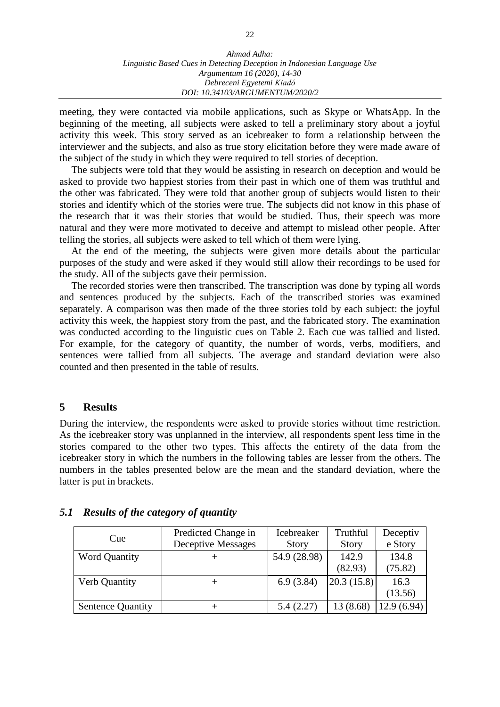meeting, they were contacted via mobile applications, such as Skype or WhatsApp. In the beginning of the meeting, all subjects were asked to tell a preliminary story about a joyful activity this week. This story served as an icebreaker to form a relationship between the interviewer and the subjects, and also as true story elicitation before they were made aware of the subject of the study in which they were required to tell stories of deception.

The subjects were told that they would be assisting in research on deception and would be asked to provide two happiest stories from their past in which one of them was truthful and the other was fabricated. They were told that another group of subjects would listen to their stories and identify which of the stories were true. The subjects did not know in this phase of the research that it was their stories that would be studied. Thus, their speech was more natural and they were more motivated to deceive and attempt to mislead other people. After telling the stories, all subjects were asked to tell which of them were lying.

At the end of the meeting, the subjects were given more details about the particular purposes of the study and were asked if they would still allow their recordings to be used for the study. All of the subjects gave their permission.

The recorded stories were then transcribed. The transcription was done by typing all words and sentences produced by the subjects. Each of the transcribed stories was examined separately. A comparison was then made of the three stories told by each subject: the joyful activity this week, the happiest story from the past, and the fabricated story. The examination was conducted according to the linguistic cues on Table 2. Each cue was tallied and listed. For example, for the category of quantity, the number of words, verbs, modifiers, and sentences were tallied from all subjects. The average and standard deviation were also counted and then presented in the table of results.

#### **5 Results**

During the interview, the respondents were asked to provide stories without time restriction. As the icebreaker story was unplanned in the interview, all respondents spent less time in the stories compared to the other two types. This affects the entirety of the data from the icebreaker story in which the numbers in the following tables are lesser from the others. The numbers in the tables presented below are the mean and the standard deviation, where the latter is put in brackets.

|                          | Predicted Change in | Icebreaker   | Truthful     | Deceptiv   |
|--------------------------|---------------------|--------------|--------------|------------|
| Cue                      | Deceptive Messages  | <b>Story</b> | <b>Story</b> | e Story    |
| <b>Word Quantity</b>     |                     | 54.9 (28.98) | 142.9        | 134.8      |
|                          |                     |              | (82.93)      | (75.82)    |
| Verb Quantity            | $^{\mathrm{+}}$     | 6.9(3.84)    | 20.3(15.8)   | 16.3       |
|                          |                     |              |              | (13.56)    |
| <b>Sentence Quantity</b> |                     | 5.4(2.27)    | 13(8.68)     | 12.9(6.94) |

#### *5.1 Results of the category of quantity*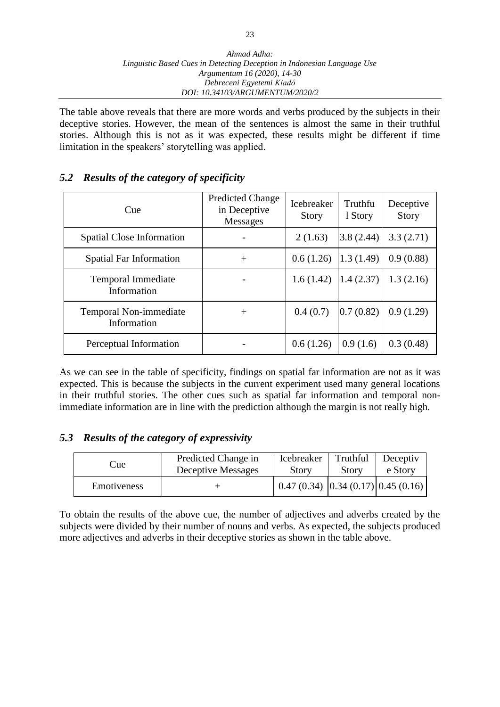The table above reveals that there are more words and verbs produced by the subjects in their deceptive stories. However, the mean of the sentences is almost the same in their truthful stories. Although this is not as it was expected, these results might be different if time limitation in the speakers' storytelling was applied.

#### *5.2 Results of the category of specificity*

| Cue                                      | <b>Predicted Change</b><br>in Deceptive<br><b>Messages</b> | <b>Icebreaker</b><br><b>Story</b> | Truthfu<br>1 Story | Deceptive<br><b>Story</b> |
|------------------------------------------|------------------------------------------------------------|-----------------------------------|--------------------|---------------------------|
| Spatial Close Information                |                                                            | 2(1.63)                           | 3.8(2.44)          | 3.3(2.71)                 |
| <b>Spatial Far Information</b>           | $^{+}$                                                     | 0.6(1.26)                         | 1.3(1.49)          | 0.9(0.88)                 |
| <b>Temporal Immediate</b><br>Information |                                                            | 1.6(1.42)                         | 1.4(2.37)          | 1.3(2.16)                 |
| Temporal Non-immediate<br>Information    | $\pm$                                                      | 0.4(0.7)                          | 0.7(0.82)          | 0.9(1.29)                 |
| Perceptual Information                   |                                                            | 0.6(1.26)                         | 0.9(1.6)           | 0.3(0.48)                 |

As we can see in the table of specificity, findings on spatial far information are not as it was expected. This is because the subjects in the current experiment used many general locations in their truthful stories. The other cues such as spatial far information and temporal nonimmediate information are in line with the prediction although the margin is not really high.

## *5.3 Results of the category of expressivity*

| Cue         | Predicted Change in | Icebreaker                                               | Truthful | Deceptiv |
|-------------|---------------------|----------------------------------------------------------|----------|----------|
|             | Deceptive Messages  | <b>Story</b>                                             | Story    | e Story  |
| Emotiveness |                     | $\mid$ 0.47 (0.34) $\mid$ 0.34 (0.17) $\mid$ 0.45 (0.16) |          |          |

To obtain the results of the above cue, the number of adjectives and adverbs created by the subjects were divided by their number of nouns and verbs. As expected, the subjects produced more adjectives and adverbs in their deceptive stories as shown in the table above.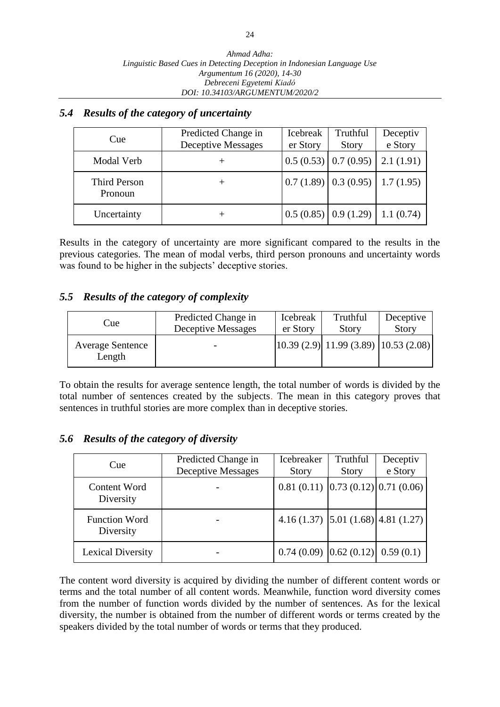#### *5.4 Results of the category of uncertainty*

| Cue                     | Predicted Change in<br><b>Deceptive Messages</b> | <b>Icebreak</b><br>er Story | Truthful<br>Story                                             | Deceptiv<br>e Story |
|-------------------------|--------------------------------------------------|-----------------------------|---------------------------------------------------------------|---------------------|
| Modal Verb              |                                                  |                             | $0.5(0.53)$   $0.7(0.95)$   2.1(1.91)                         |                     |
| Third Person<br>Pronoun |                                                  |                             | $\vert 0.7 \, (1.89) \vert 0.3 \, (0.95) \vert 1.7 \, (1.95)$ |                     |
| Uncertainty             |                                                  |                             | $0.5(0.85)$ 0.9 (1.29) 1.1 (0.74)                             |                     |

Results in the category of uncertainty are more significant compared to the results in the previous categories. The mean of modal verbs, third person pronouns and uncertainty words was found to be higher in the subjects' deceptive stories.

#### *5.5 Results of the category of complexity*

| Cue                               | Predicted Change in      | Icebreak | Truthful                                                                          | Deceptive |
|-----------------------------------|--------------------------|----------|-----------------------------------------------------------------------------------|-----------|
|                                   | Deceptive Messages       | er Story | <b>Story</b>                                                                      | Story     |
| <b>Average Sentence</b><br>Length | $\overline{\phantom{0}}$ |          | $\vert 10.39 \vert (2.9) \vert 11.99 \vert (3.89) \vert 10.53 \vert (2.08) \vert$ |           |

To obtain the results for average sentence length, the total number of words is divided by the total number of sentences created by the subjects. The mean in this category proves that sentences in truthful stories are more complex than in deceptive stories.

#### *5.6 Results of the category of diversity*

| Cue                               | Predicted Change in | Icebreaker                             | Truthful     | Deceptiv |
|-----------------------------------|---------------------|----------------------------------------|--------------|----------|
|                                   | Deceptive Messages  | <b>Story</b>                           | <b>Story</b> | e Story  |
| Content Word<br>Diversity         |                     | $0.81(0.11)$ $0.73(0.12)$ $0.71(0.06)$ |              |          |
| <b>Function Word</b><br>Diversity |                     | 4.16 (1.37) [5.01 (1.68) [4.81 (1.27)] |              |          |
| <b>Lexical Diversity</b>          |                     | $0.74(0.09)$ $0.62(0.12)$ 0.59 (0.1)   |              |          |

The content word diversity is acquired by dividing the number of different content words or terms and the total number of all content words. Meanwhile, function word diversity comes from the number of function words divided by the number of sentences. As for the lexical diversity, the number is obtained from the number of different words or terms created by the speakers divided by the total number of words or terms that they produced.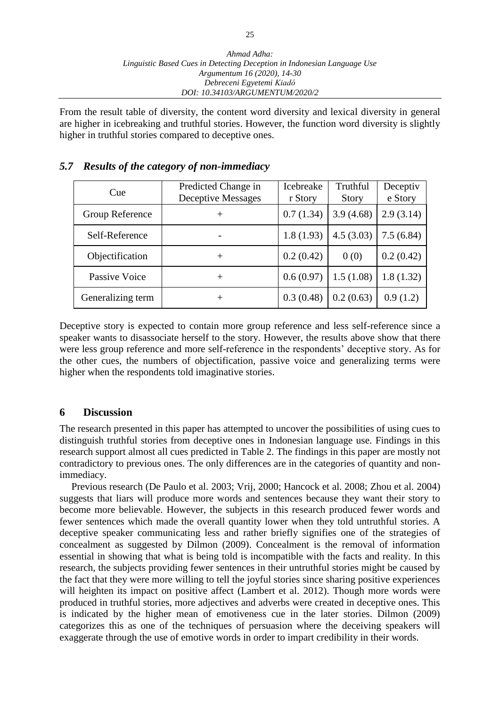From the result table of diversity, the content word diversity and lexical diversity in general are higher in icebreaking and truthful stories. However, the function word diversity is slightly higher in truthful stories compared to deceptive ones.

## *5.7 Results of the category of non-immediacy*

| Cue               | Predicted Change in<br><b>Deceptive Messages</b> | Icebreake<br>r Story | Truthful<br><b>Story</b> | Deceptiv<br>e Story |
|-------------------|--------------------------------------------------|----------------------|--------------------------|---------------------|
| Group Reference   | $^{+}$                                           | 0.7(1.34)            | 3.9(4.68)                | 2.9(3.14)           |
| Self-Reference    |                                                  | 1.8(1.93)            | 4.5(3.03)                | 7.5(6.84)           |
| Objectification   | $^{+}$                                           | 0.2(0.42)            | 0(0)                     | 0.2(0.42)           |
| Passive Voice     | $^{+}$                                           | 0.6(0.97)            | 1.5(1.08)                | 1.8(1.32)           |
| Generalizing term | $^+$                                             | 0.3(0.48)            | 0.2(0.63)                | 0.9(1.2)            |

Deceptive story is expected to contain more group reference and less self-reference since a speaker wants to disassociate herself to the story. However, the results above show that there were less group reference and more self-reference in the respondents' deceptive story. As for the other cues, the numbers of objectification, passive voice and generalizing terms were higher when the respondents told imaginative stories.

#### **6 Discussion**

The research presented in this paper has attempted to uncover the possibilities of using cues to distinguish truthful stories from deceptive ones in Indonesian language use. Findings in this research support almost all cues predicted in Table 2. The findings in this paper are mostly not contradictory to previous ones. The only differences are in the categories of quantity and nonimmediacy.

Previous research (De Paulo et al. 2003; Vrij, 2000; Hancock et al. 2008; Zhou et al. 2004) suggests that liars will produce more words and sentences because they want their story to become more believable. However, the subjects in this research produced fewer words and fewer sentences which made the overall quantity lower when they told untruthful stories. A deceptive speaker communicating less and rather briefly signifies one of the strategies of concealment as suggested by Dilmon (2009). Concealment is the removal of information essential in showing that what is being told is incompatible with the facts and reality. In this research, the subjects providing fewer sentences in their untruthful stories might be caused by the fact that they were more willing to tell the joyful stories since sharing positive experiences will heighten its impact on positive affect (Lambert et al. 2012). Though more words were produced in truthful stories, more adjectives and adverbs were created in deceptive ones. This is indicated by the higher mean of emotiveness cue in the later stories. Dilmon (2009) categorizes this as one of the techniques of persuasion where the deceiving speakers will exaggerate through the use of emotive words in order to impart credibility in their words.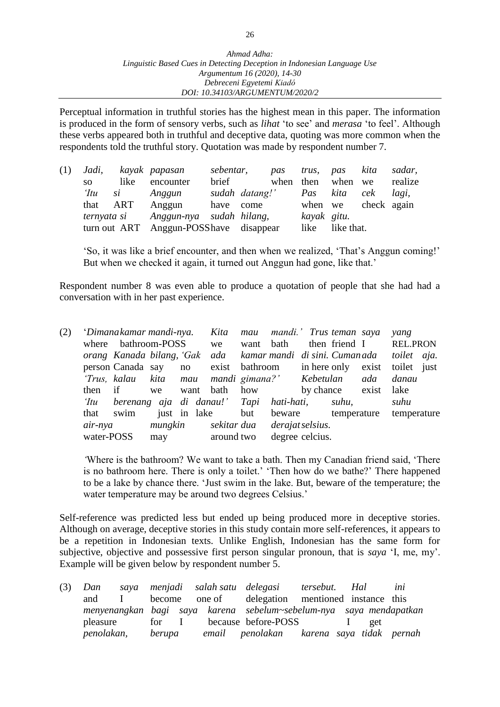Perceptual information in truthful stories has the highest mean in this paper. The information is produced in the form of sensory verbs, such as *lihat* 'to see' and *merasa* 'to feel'. Although these verbs appeared both in truthful and deceptive data, quoting was more common when the respondents told the truthful story. Quotation was made by respondent number 7.

| (1) | Jadi, |                 | kayak papasan                           | sebentar, |                | pas       |             | trus, pas kita |             | sadar,  |
|-----|-------|-----------------|-----------------------------------------|-----------|----------------|-----------|-------------|----------------|-------------|---------|
|     | SO    | like            | encounter                               | brief     |                | when then |             | when we        |             | realize |
|     | 'Itu  | $\mathfrak{si}$ | Anggun                                  |           | sudah datang!' |           | Pas         | kita           | cek         | lagi,   |
|     |       | that ART        | Anggun                                  | have come |                |           | when we     |                | check again |         |
|     |       |                 | ternyata si Anggun-nya sudah hilang,    |           |                |           | kayak gitu. |                |             |         |
|     |       |                 | turn out ART Anggun-POSS have disappear |           |                |           | like        | like that.     |             |         |

'So, it was like a brief encounter, and then when we realized, 'That's Anggun coming!' But when we checked it again, it turned out Anggun had gone, like that.'

Respondent number 8 was even able to produce a quotation of people that she had had a conversation with in her past experience.

| (2) |              | 'Dimanakamar mandi-nya.                                     |         |              | Kita                              | mau       | mandi.' Trus teman saya |                 |             |                        | yang        |  |
|-----|--------------|-------------------------------------------------------------|---------|--------------|-----------------------------------|-----------|-------------------------|-----------------|-------------|------------------------|-------------|--|
|     | where        | bathroom-POSS                                               |         |              | we                                | want bath |                         |                 |             | then friend I REL.PRON |             |  |
|     |              | orang Kanada bilang, 'Gak ada kamar mandi di sini. Cumanada |         |              |                                   |           |                         |                 |             |                        | toilet aja. |  |
|     |              | person Canada say no                                        |         |              | exist bathroom in here only       |           |                         |                 |             | exist                  | toilet just |  |
|     | 'Trus, kalau |                                                             |         |              | kita mau mandi gimana?' Kebetulan |           |                         |                 |             | ada                    | danau       |  |
|     | then         | if                                                          | we      | want         | bath                              | how       |                         | by chance       |             | exist                  | lake        |  |
|     | 'Itu         | berenang aja di danau!' Tapi                                |         |              |                                   |           | hati-hati,              |                 | suhu,       |                        | suhu        |  |
|     | that         | swim                                                        |         | just in lake |                                   | but       | beware                  |                 | temperature |                        | temperature |  |
|     | air-nya      |                                                             | mungkin |              | sekitar dua                       |           | derajat selsius.        |                 |             |                        |             |  |
|     | water-POSS   |                                                             | may     |              | around two                        |           |                         | degree celcius. |             |                        |             |  |

*'*Where is the bathroom? We want to take a bath. Then my Canadian friend said, 'There is no bathroom here. There is only a toilet.' 'Then how do we bathe?' There happened to be a lake by chance there. 'Just swim in the lake. But, beware of the temperature; the water temperature may be around two degrees Celsius.'

Self-reference was predicted less but ended up being produced more in deceptive stories. Although on average, deceptive stories in this study contain more self-references, it appears to be a repetition in Indonesian texts. Unlike English, Indonesian has the same form for subjective, objective and possessive first person singular pronoun, that is *saya* 'I, me, my'. Example will be given below by respondent number 5.

| $(3)$ Dan  |        |  | saya menjadi salah-satu delegasi - tersebut. Hal                   |  |     | ini |
|------------|--------|--|--------------------------------------------------------------------|--|-----|-----|
| and        |        |  | become one of delegation mentioned instance this                   |  |     |     |
|            |        |  | menyenangkan bagi saya karena sebelum~sebelum-nya saya mendapatkan |  |     |     |
| pleasure   |        |  | for I because before-POSS I                                        |  | get |     |
| penolakan, | berupa |  | email penolakan karena saya tidak pernah                           |  |     |     |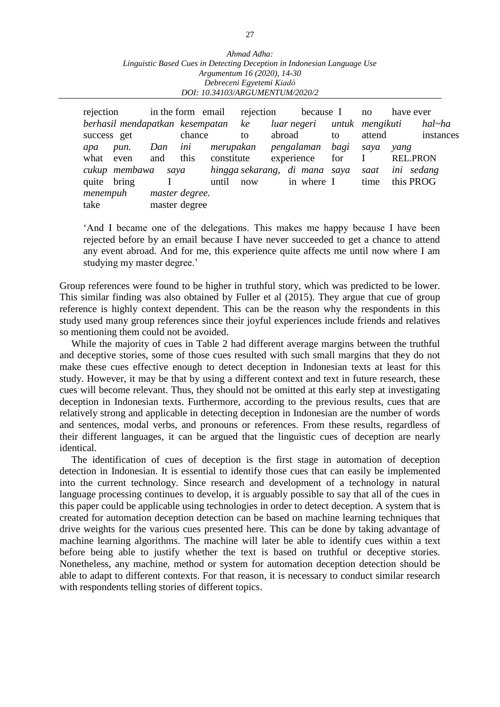| Ahmad Adha:                                                             |  |  |  |  |  |  |  |  |  |
|-------------------------------------------------------------------------|--|--|--|--|--|--|--|--|--|
| Linguistic Based Cues in Detecting Deception in Indonesian Language Use |  |  |  |  |  |  |  |  |  |
| Argumentum 16 (2020), 14-30                                             |  |  |  |  |  |  |  |  |  |
| Debreceni Egyetemi Kiadó                                                |  |  |  |  |  |  |  |  |  |
| DOI: 10.34103/ARGUMENTUM/2020/2                                         |  |  |  |  |  |  |  |  |  |

| rejection                          |       |     | in the form email |                               | rejection            |                             | because I |            | no   | have ever    |            |                 |
|------------------------------------|-------|-----|-------------------|-------------------------------|----------------------|-----------------------------|-----------|------------|------|--------------|------------|-----------------|
| berhasil mendapatkan kesempatan ke |       |     |                   |                               |                      | luar negeri untuk mengikuti |           |            |      |              | hal~ha     |                 |
| success get                        |       |     | chance            |                               | to                   | abroad                      |           |            | to   | attend       |            | instances       |
| apa                                | pun.  | Dan | ini               |                               | merupakan pengalaman |                             |           |            | bagi | sava         | yang       |                 |
| what even                          |       | and | this              | constitute                    |                      |                             |           | experience | for  | $\mathbf{I}$ |            | <b>REL.PRON</b> |
| cukup membawa<br>saya              |       |     |                   | hingga sekarang, di mana saya |                      |                             |           |            | saat |              | ini sedang |                 |
| quite                              | bring |     |                   | until                         | now                  |                             |           | in where I |      | time         |            | this PROG       |
| menempuh                           |       |     | master degree.    |                               |                      |                             |           |            |      |              |            |                 |
| take                               |       |     | master degree     |                               |                      |                             |           |            |      |              |            |                 |

'And I became one of the delegations. This makes me happy because I have been rejected before by an email because I have never succeeded to get a chance to attend any event abroad. And for me, this experience quite affects me until now where I am studying my master degree.'

Group references were found to be higher in truthful story, which was predicted to be lower. This similar finding was also obtained by Fuller et al (2015). They argue that cue of group reference is highly context dependent. This can be the reason why the respondents in this study used many group references since their joyful experiences include friends and relatives so mentioning them could not be avoided.

While the majority of cues in Table 2 had different average margins between the truthful and deceptive stories, some of those cues resulted with such small margins that they do not make these cues effective enough to detect deception in Indonesian texts at least for this study. However, it may be that by using a different context and text in future research, these cues will become relevant. Thus, they should not be omitted at this early step at investigating deception in Indonesian texts. Furthermore, according to the previous results, cues that are relatively strong and applicable in detecting deception in Indonesian are the number of words and sentences, modal verbs, and pronouns or references. From these results, regardless of their different languages, it can be argued that the linguistic cues of deception are nearly identical.

The identification of cues of deception is the first stage in automation of deception detection in Indonesian. It is essential to identify those cues that can easily be implemented into the current technology. Since research and development of a technology in natural language processing continues to develop, it is arguably possible to say that all of the cues in this paper could be applicable using technologies in order to detect deception. A system that is created for automation deception detection can be based on machine learning techniques that drive weights for the various cues presented here. This can be done by taking advantage of machine learning algorithms. The machine will later be able to identify cues within a text before being able to justify whether the text is based on truthful or deceptive stories. Nonetheless, any machine, method or system for automation deception detection should be able to adapt to different contexts. For that reason, it is necessary to conduct similar research with respondents telling stories of different topics.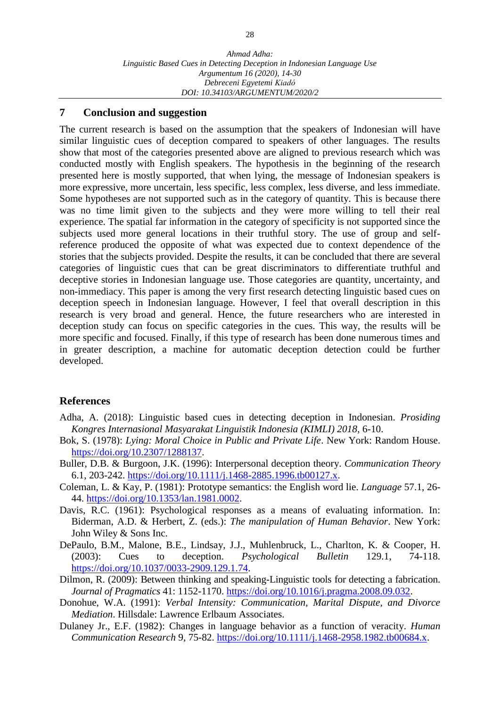#### **7 Conclusion and suggestion**

The current research is based on the assumption that the speakers of Indonesian will have similar linguistic cues of deception compared to speakers of other languages. The results show that most of the categories presented above are aligned to previous research which was conducted mostly with English speakers. The hypothesis in the beginning of the research presented here is mostly supported, that when lying, the message of Indonesian speakers is more expressive, more uncertain, less specific, less complex, less diverse, and less immediate. Some hypotheses are not supported such as in the category of quantity. This is because there was no time limit given to the subjects and they were more willing to tell their real experience. The spatial far information in the category of specificity is not supported since the subjects used more general locations in their truthful story. The use of group and selfreference produced the opposite of what was expected due to context dependence of the stories that the subjects provided. Despite the results, it can be concluded that there are several categories of linguistic cues that can be great discriminators to differentiate truthful and deceptive stories in Indonesian language use. Those categories are quantity, uncertainty, and non-immediacy. This paper is among the very first research detecting linguistic based cues on deception speech in Indonesian language. However, I feel that overall description in this research is very broad and general. Hence, the future researchers who are interested in deception study can focus on specific categories in the cues. This way, the results will be more specific and focused. Finally, if this type of research has been done numerous times and in greater description, a machine for automatic deception detection could be further developed.

#### **References**

- Adha, A. (2018): Linguistic based cues in detecting deception in Indonesian. *Prosiding Kongres Internasional Masyarakat Linguistik Indonesia (KIMLI) 2018*, 6-10.
- Bok, S. (1978): *Lying: Moral Choice in Public and Private Life*. New York: Random House. [https://doi.org/10.2307/1288137.](https://doi.org/10.2307/1288137)
- Buller, D.B. & Burgoon, J.K. (1996): Interpersonal deception theory. *Communication Theory* 6.1, 203-242. [https://doi.org/10.1111/j.1468-2885.1996.tb00127.x.](https://doi.org/10.1111/j.1468-2885.1996.tb00127.x)
- Coleman, L. & Kay, P. (1981): Prototype semantics: the English word lie. *Language* 57.1, 26- 44. [https://doi.org/10.1353/lan.1981.0002.](https://doi.org/10.1353/lan.1981.0002)
- Davis, R.C. (1961): Psychological responses as a means of evaluating information. In: Biderman, A.D. & Herbert, Z. (eds.): *The manipulation of Human Behavior*. New York: John Wiley & Sons Inc.
- DePaulo, B.M., Malone, B.E., Lindsay, J.J., Muhlenbruck, L., Charlton, K. & Cooper, H. (2003): Cues to deception. *Psychological Bulletin* 129.1, 74-118. [https://doi.org/10.1037/0033-2909.129.1.74.](https://doi.org/10.1037/0033-2909.129.1.74)
- Dilmon, R. (2009): Between thinking and speaking-Linguistic tools for detecting a fabrication. *Journal of Pragmatics* 41: 1152-1170. [https://doi.org/10.1016/j.pragma.2008.09.032.](https://doi.org/10.1016/j.pragma.2008.09.032)
- Donohue, W.A. (1991): *Verbal Intensity: Communication, Marital Dispute, and Divorce Mediation*. Hillsdale: Lawrence Erlbaum Associates.
- Dulaney Jr., E.F. (1982): Changes in language behavior as a function of veracity. *Human Communication Research* 9, 75-82. [https://doi.org/10.1111/j.1468-2958.1982.tb00684.x.](https://doi.org/10.1111/j.1468-2958.1982.tb00684.x)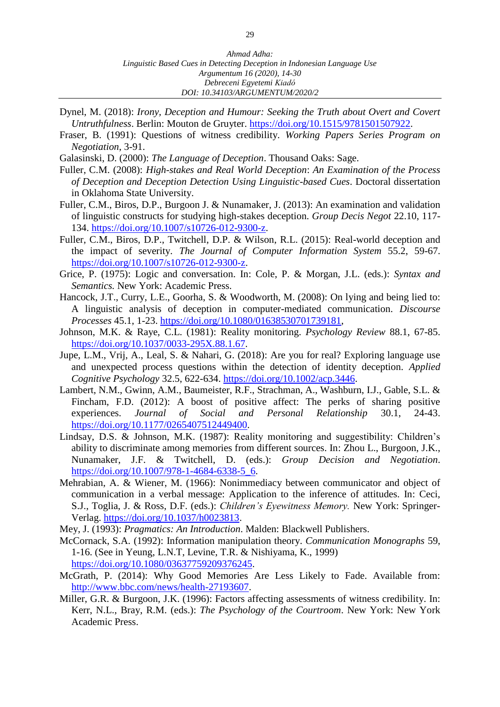- Dynel, M. (2018): *Irony, Deception and Humour: Seeking the Truth about Overt and Covert Untruthfulness*. Berlin: Mouton de Gruyter. [https://doi.org/10.1515/9781501507922.](https://doi.org/10.1515/9781501507922)
- Fraser, B. (1991): Questions of witness credibility. *Working Papers Series Program on Negotiation*, 3-91.
- Galasinski, D. (2000): *The Language of Deception*. Thousand Oaks: Sage.
- Fuller, C.M. (2008): *High-stakes and Real World Deception*: *An Examination of the Process of Deception and Deception Detection Using Linguistic-based Cues*. Doctoral dissertation in Oklahoma State University.
- Fuller, C.M., Biros, D.P., Burgoon J. & Nunamaker, J. (2013): An examination and validation of linguistic constructs for studying high-stakes deception. *Group Decis Negot* 22.10, 117- 134. [https://doi.org/10.1007/s10726-012-9300-z.](https://doi.org/10.1007/s10726-012-9300-z)
- Fuller, C.M., Biros, D.P., Twitchell, D.P. & Wilson, R.L. (2015): Real-world deception and the impact of severity. *The Journal of Computer Information System* 55.2, 59-67. [https://doi.org/10.1007/s10726-012-9300-z.](https://doi.org/10.1007/s10726-012-9300-z)
- Grice, P. (1975): Logic and conversation. In: Cole, P. & Morgan, J.L. (eds.): *Syntax and Semantics.* New York: Academic Press.
- Hancock, J.T., Curry, L.E., Goorha, S. & Woodworth, M. (2008): On lying and being lied to: A linguistic analysis of deception in computer-mediated communication. *Discourse Processes* 45.1, 1-23. [https://doi.org/10.1080/01638530701739181,](https://doi.org/10.1080/01638530701739181)
- Johnson, M.K. & Raye, C.L. (1981): Reality monitoring. *Psychology Review* 88.1, 67-85. [https://doi.org/10.1037/0033-295X.88.1.67.](https://doi.org/10.1037/0033-295X.88.1.67)
- Jupe, L.M., Vrij, A., Leal, S. & Nahari, G. (2018): Are you for real? Exploring language use and unexpected process questions within the detection of identity deception. *Applied Cognitive Psychology* 32.5, 622-634. [https://doi.org/10.1002/acp.3446.](https://doi.org/10.1002/acp.3446)
- Lambert, N.M., Gwinn, A.M., Baumeister, R.F., Strachman, A., Washburn, I.J., Gable, S.L. & Fincham, F.D. (2012): A boost of positive affect: The perks of sharing positive experiences. *Journal of Social and Personal Relationship* 30.1, 24-43. [https://doi.org/10.1177/0265407512449400.](https://doi.org/10.1177/0265407512449400)
- Lindsay, D.S. & Johnson, M.K. (1987): Reality monitoring and suggestibility: Children's ability to discriminate among memories from different sources. In: Zhou L., Burgoon, J.K., Nunamaker, J.F. & Twitchell, D. (eds.): *Group Decision and Negotiation*. [https://doi.org/10.1007/978-1-4684-6338-5\\_6.](https://doi.org/10.1007/978-1-4684-6338-5_6)
- Mehrabian, A. & Wiener, M. (1966): Nonimmediacy between communicator and object of communication in a verbal message: Application to the inference of attitudes. In: Ceci, S.J., Toglia, J. & Ross, D.F. (eds.): *Children's Eyewitness Memory.* New York: Springer-Verlag. [https://doi.org/10.1037/h0023813.](https://doi.org/10.1037/h0023813)
- Mey, J. (1993): *Pragmatics: An Introduction*. Malden: Blackwell Publishers.
- McCornack, S.A. (1992): Information manipulation theory. *Communication Monographs* 59, 1-16. (See in Yeung, L.N.T, Levine, T.R. & Nishiyama, K., 1999) [https://doi.org/10.1080/03637759209376245.](https://doi.org/10.1080/03637759209376245)
- McGrath, P. (2014): Why Good Memories Are Less Likely to Fade. Available from: [http://www.bbc.com/news/health-27193607.](http://www.bbc.com/news/health-27193607)
- Miller, G.R. & Burgoon, J.K. (1996): Factors affecting assessments of witness credibility. In: Kerr, N.L., Bray, R.M. (eds.): *The Psychology of the Courtroom*. New York: New York Academic Press.